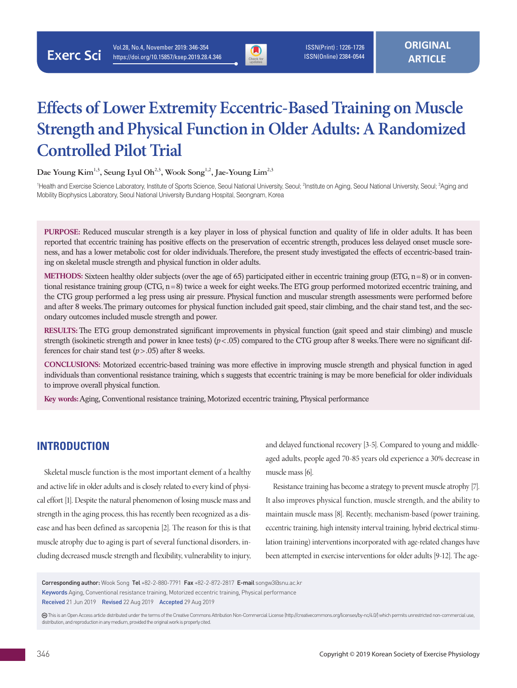

# **Effects of Lower Extremity Eccentric-Based Training on Muscle Strength and Physical Function in Older Adults: A Randomized Controlled Pilot Trial**

Dae Young Kim<sup>1,3</sup>, Seung Lyul Oh<sup>2,3</sup>, Wook Song<sup>1,2</sup>, Jae-Young Lim<sup>2,3</sup>

<sup>1</sup>Health and Exercise Science Laboratory, Institute of Sports Science, Seoul National University, Seoul; <sup>2</sup>Institute on Aging, Seoul National University, Seoul; <sup>3</sup>Aging and Mobility Biophysics Laboratory, Seoul National University Bundang Hospital, Seongnam, Korea

**PURPOSE:** Reduced muscular strength is a key player in loss of physical function and quality of life in older adults. It has been reported that eccentric training has positive effects on the preservation of eccentric strength, produces less delayed onset muscle soreness, and has a lower metabolic cost for older individuals. Therefore, the present study investigated the effects of eccentric-based training on skeletal muscle strength and physical function in older adults.

**METHODS:** Sixteen healthy older subjects (over the age of 65) participated either in eccentric training group (ETG, n=8) or in conventional resistance training group (CTG, n=8) twice a week for eight weeks. The ETG group performed motorized eccentric training, and the CTG group performed a leg press using air pressure. Physical function and muscular strength assessments were performed before and after 8 weeks. The primary outcomes for physical function included gait speed, stair climbing, and the chair stand test, and the secondary outcomes included muscle strength and power.

**RESULTS:** The ETG group demonstrated significant improvements in physical function (gait speed and stair climbing) and muscle strength (isokinetic strength and power in knee tests) ( $p < .05$ ) compared to the CTG group after 8 weeks. There were no significant differences for chair stand test (*p*>.05) after 8 weeks.

**CONCLUSIONS:** Motorized eccentric-based training was more effective in improving muscle strength and physical function in aged individuals than conventional resistance training, which s suggests that eccentric training is may be more beneficial for older individuals to improve overall physical function.

**Key words:** Aging, Conventional resistance training, Motorized eccentric training, Physical performance

# **INTRODUCTION**

Skeletal muscle function is the most important element of a healthy and active life in older adults and is closely related to every kind of physical effort [1]. Despite the natural phenomenon of losing muscle mass and strength in the aging process, this has recently been recognized as a disease and has been defined as sarcopenia [2]. The reason for this is that muscle atrophy due to aging is part of several functional disorders, including decreased muscle strength and flexibility, vulnerability to injury,

and delayed functional recovery [3-5]. Compared to young and middleaged adults, people aged 70-85 years old experience a 30% decrease in muscle mass [6].

Resistance training has become a strategy to prevent muscle atrophy [7]. It also improves physical function, muscle strength, and the ability to maintain muscle mass [8]. Recently, mechanism-based (power training, eccentric training, high intensity interval training, hybrid electrical stimulation training) interventions incorporated with age-related changes have been attempted in exercise interventions for older adults [9-12]. The age-

Corresponding author: Wook Song Tel +82-2-880-7791 Fax +82-2-872-2817 E-mail songw3@snu.ac.kr

Keywords Aging, Conventional resistance training, Motorized eccentric training, Physical performance

Received 21 Jun 2019 Revised 22 Aug 2019 Accepted 29 Aug 2019

This is an Open Access article distributed under the terms of the Creative Commons Attribution Non-Commercial License (http://creativecommons.org/licenses/by-nc/4.0/) which permits unrestricted non-commercial use, distribution, and reproduction in any medium, provided the original work is properly cited.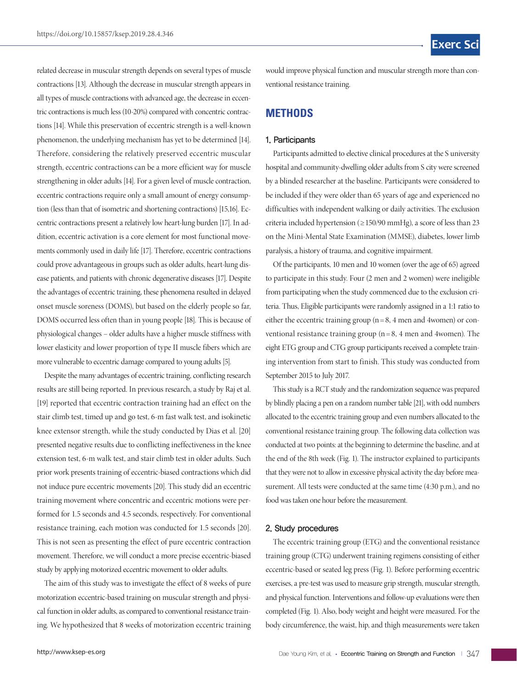related decrease in muscular strength depends on several types of muscle contractions [13]. Although the decrease in muscular strength appears in all types of muscle contractions with advanced age, the decrease in eccentric contractions is much less (10-20%) compared with concentric contractions [14]. While this preservation of eccentric strength is a well-known phenomenon, the underlying mechanism has yet to be determined [14]. Therefore, considering the relatively preserved eccentric muscular strength, eccentric contractions can be a more efficient way for muscle strengthening in older adults [14]. For a given level of muscle contraction, eccentric contractions require only a small amount of energy consumption (less than that of isometric and shortening contractions) [15,16]. Eccentric contractions present a relatively low heart-lung burden [17]. In addition, eccentric activation is a core element for most functional movements commonly used in daily life [17]. Therefore, eccentric contractions could prove advantageous in groups such as older adults, heart-lung disease patients, and patients with chronic degenerative diseases [17]. Despite the advantages of eccentric training, these phenomena resulted in delayed onset muscle soreness (DOMS), but based on the elderly people so far, DOMS occurred less often than in young people [18]. This is because of physiological changes – older adults have a higher muscle stiffness with lower elasticity and lower proportion of type II muscle fibers which are more vulnerable to eccentric damage compared to young adults [5].

Despite the many advantages of eccentric training, conflicting research results are still being reported. In previous research, a study by Raj et al. [19] reported that eccentric contraction training had an effect on the stair climb test, timed up and go test, 6-m fast walk test, and isokinetic knee extensor strength, while the study conducted by Dias et al. [20] presented negative results due to conflicting ineffectiveness in the knee extension test, 6-m walk test, and stair climb test in older adults. Such prior work presents training of eccentric-biased contractions which did not induce pure eccentric movements [20]. This study did an eccentric training movement where concentric and eccentric motions were performed for 1.5 seconds and 4.5 seconds, respectively. For conventional resistance training, each motion was conducted for 1.5 seconds [20]. This is not seen as presenting the effect of pure eccentric contraction movement. Therefore, we will conduct a more precise eccentric-biased study by applying motorized eccentric movement to older adults.

The aim of this study was to investigate the effect of 8 weeks of pure motorization eccentric-based training on muscular strength and physical function in older adults, as compared to conventional resistance training. We hypothesized that 8 weeks of motorization eccentric training

would improve physical function and muscular strength more than conventional resistance training.

### **METHODS**

### 1. Participants

Participants admitted to elective clinical procedures at the S university hospital and community-dwelling older adults from S city were screened by a blinded researcher at the baseline. Participants were considered to be included if they were older than 65 years of age and experienced no difficulties with independent walking or daily activities. The exclusion criteria included hypertension (≥150/90 mmHg), a score of less than 23 on the Mini-Mental State Examination (MMSE), diabetes, lower limb paralysis, a history of trauma, and cognitive impairment.

Of the participants, 10 men and 10 women (over the age of 65) agreed to participate in this study. Four (2 men and 2 women) were ineligible from participating when the study commenced due to the exclusion criteria. Thus, Eligible participants were randomly assigned in a 1:1 ratio to either the eccentric training group ( $n = 8$ , 4 men and 4women) or conventional resistance training group  $(n=8, 4 \text{ men and } 4 \text{ women})$ . The eight ETG group and CTG group participants received a complete training intervention from start to finish. This study was conducted from September 2015 to July 2017.

This study is a RCT study and the randomization sequence was prepared by blindly placing a pen on a random number table [21], with odd numbers allocated to the eccentric training group and even numbers allocated to the conventional resistance training group. The following data collection was conducted at two points: at the beginning to determine the baseline, and at the end of the 8th week (Fig. 1). The instructor explained to participants that they were not to allow in excessive physical activity the day before measurement. All tests were conducted at the same time (4:30 p.m.), and no food was taken one hour before the measurement.

### 2. Study procedures

The eccentric training group (ETG) and the conventional resistance training group (CTG) underwent training regimens consisting of either eccentric-based or seated leg press (Fig. 1). Before performing eccentric exercises, a pre-test was used to measure grip strength, muscular strength, and physical function. Interventions and follow-up evaluations were then completed (Fig. 1). Also, body weight and height were measured. For the body circumference, the waist, hip, and thigh measurements were taken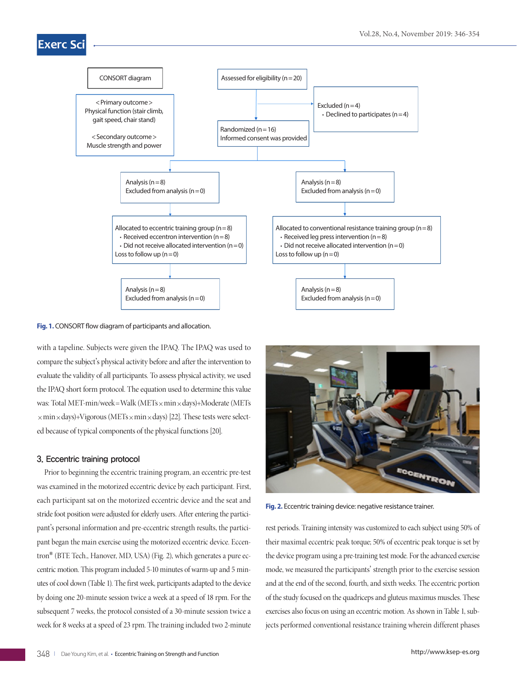# **Exerc Sc**



**Fig. 1.** CONSORT flow diagram of participants and allocation.

with a tapeline. Subjects were given the IPAQ. The IPAQ was used to compare the subject's physical activity before and after the intervention to evaluate the validity of all participants. To assess physical activity, we used the IPAQ short form protocol. The equation used to determine this value was: Total MET-min/week=Walk (METs×min×days)+Moderate (METs  $\times$ min $\times$ days)+Vigorous (METs $\times$ min $\times$ days) [22]. These tests were selected because of typical components of the physical functions [20].

### 3. Eccentric training protocol

Prior to beginning the eccentric training program, an eccentric pre-test was examined in the motorized eccentric device by each participant. First, each participant sat on the motorized eccentric device and the seat and stride foot position were adjusted for elderly users. After entering the participant's personal information and pre-eccentric strength results, the participant began the main exercise using the motorized eccentric device. Eccentron**®** (BTE Tech., Hanover, MD, USA) (Fig. 2), which generates a pure eccentric motion. This program included 5-10 minutes of warm-up and 5 minutes of cool down (Table 1). The first week, participants adapted to the device by doing one 20-minute session twice a week at a speed of 18 rpm. For the subsequent 7 weeks, the protocol consisted of a 30-minute session twice a week for 8 weeks at a speed of 23 rpm. The training included two 2-minute



**Fig. 2.** Eccentric training device: negative resistance trainer.

rest periods. Training intensity was customized to each subject using 50% of their maximal eccentric peak torque; 50% of eccentric peak torque is set by the device program using a pre-training test mode. For the advanced exercise mode, we measured the participants' strength prior to the exercise session and at the end of the second, fourth, and sixth weeks. The eccentric portion of the study focused on the quadriceps and gluteus maximus muscles. These exercises also focus on using an eccentric motion. As shown in Table 1, subjects performed conventional resistance training wherein different phases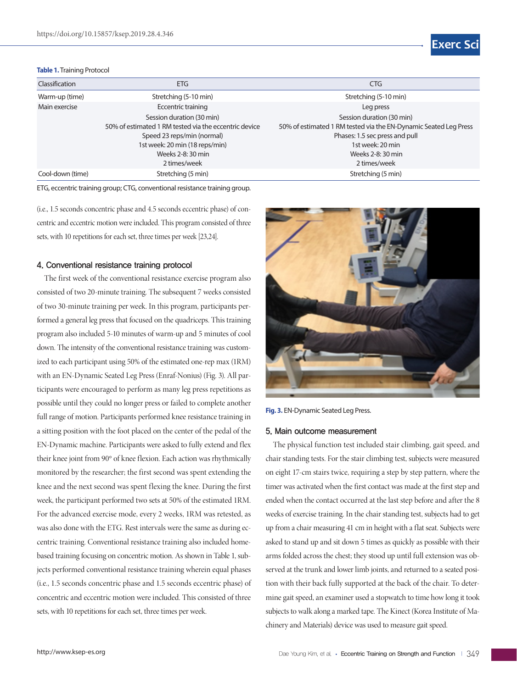#### **Table 1.** Training Protocol



| Classification   | ETG                                                   | <b>CTG</b>                                                       |  |  |
|------------------|-------------------------------------------------------|------------------------------------------------------------------|--|--|
| Warm-up (time)   | Stretching (5-10 min)                                 | Stretching (5-10 min)                                            |  |  |
| Main exercise    | Eccentric training                                    | Leg press                                                        |  |  |
|                  | Session duration (30 min)                             | Session duration (30 min)                                        |  |  |
|                  | 50% of estimated 1 RM tested via the eccentric device | 50% of estimated 1 RM tested via the EN-Dynamic Seated Leg Press |  |  |
|                  | Speed 23 reps/min (normal)                            | Phases: 1.5 sec press and pull                                   |  |  |
|                  | 1st week: 20 min (18 reps/min)                        | 1st week: 20 min                                                 |  |  |
|                  | Weeks 2-8: 30 min                                     | Weeks 2-8: 30 min                                                |  |  |
|                  | 2 times/week                                          | 2 times/week                                                     |  |  |
| Cool-down (time) | Stretching (5 min)                                    | Stretching (5 min)                                               |  |  |

ETG, eccentric training group; CTG, conventional resistance training group.

(i.e., 1.5 seconds concentric phase and 4.5 seconds eccentric phase) of concentric and eccentric motion were included. This program consisted of three sets, with 10 repetitions for each set, three times per week [23,24].

### 4. Conventional resistance training protocol

The first week of the conventional resistance exercise program also consisted of two 20-minute training. The subsequent 7 weeks consisted of two 30-minute training per week. In this program, participants performed a general leg press that focused on the quadriceps. This training program also included 5-10 minutes of warm-up and 5 minutes of cool down. The intensity of the conventional resistance training was customized to each participant using 50% of the estimated one-rep max (1RM) with an EN-Dynamic Seated Leg Press (Enraf-Nonius) (Fig. 3). All participants were encouraged to perform as many leg press repetitions as possible until they could no longer press or failed to complete another full range of motion. Participants performed knee resistance training in a sitting position with the foot placed on the center of the pedal of the EN-Dynamic machine. Participants were asked to fully extend and flex their knee joint from 90° of knee flexion. Each action was rhythmically monitored by the researcher; the first second was spent extending the knee and the next second was spent flexing the knee. During the first week, the participant performed two sets at 50% of the estimated 1RM. For the advanced exercise mode, every 2 weeks, 1RM was retested, as was also done with the ETG. Rest intervals were the same as during eccentric training. Conventional resistance training also included homebased training focusing on concentric motion. As shown in Table 1, subjects performed conventional resistance training wherein equal phases (i.e., 1.5 seconds concentric phase and 1.5 seconds eccentric phase) of concentric and eccentric motion were included. This consisted of three sets, with 10 repetitions for each set, three times per week.



**Fig. 3.** EN-Dynamic Seated Leg Press.

#### 5. Main outcome measurement

The physical function test included stair climbing, gait speed, and chair standing tests. For the stair climbing test, subjects were measured on eight 17-cm stairs twice, requiring a step by step pattern, where the timer was activated when the first contact was made at the first step and ended when the contact occurred at the last step before and after the 8 weeks of exercise training. In the chair standing test, subjects had to get up from a chair measuring 41 cm in height with a flat seat. Subjects were asked to stand up and sit down 5 times as quickly as possible with their arms folded across the chest; they stood up until full extension was observed at the trunk and lower limb joints, and returned to a seated position with their back fully supported at the back of the chair. To determine gait speed, an examiner used a stopwatch to time how long it took subjects to walk along a marked tape. The Kinect (Korea Institute of Machinery and Materials) device was used to measure gait speed.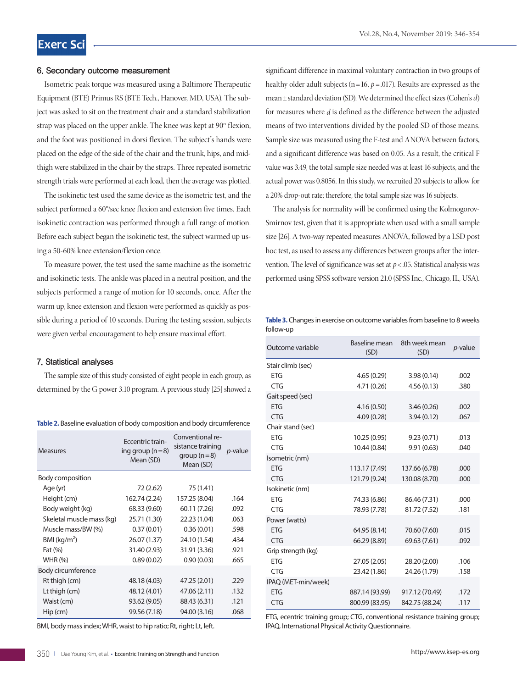#### 6. Secondary outcome measurement

Isometric peak torque was measured using a Baltimore Therapeutic Equipment (BTE) Primus RS (BTE Tech., Hanover, MD, USA). The subject was asked to sit on the treatment chair and a standard stabilization strap was placed on the upper ankle. The knee was kept at 90° flexion, and the foot was positioned in dorsi flexion. The subject's hands were placed on the edge of the side of the chair and the trunk, hips, and midthigh were stabilized in the chair by the straps. Three repeated isometric strength trials were performed at each load, then the average was plotted.

The isokinetic test used the same device as the isometric test, and the subject performed a 60°/sec knee flexion and extension five times. Each isokinetic contraction was performed through a full range of motion. Before each subject began the isokinetic test, the subject warmed up using a 50-60% knee extension/flexion once.

To measure power, the test used the same machine as the isometric and isokinetic tests. The ankle was placed in a neutral position, and the subjects performed a range of motion for 10 seconds, once. After the warm up, knee extension and flexion were performed as quickly as possible during a period of 10 seconds. During the testing session, subjects were given verbal encouragement to help ensure maximal effort.

#### 7. Statistical analyses

The sample size of this study consisted of eight people in each group, as determined by the G power 3.10 program. A previous study [25] showed a

|  |  | Table 2. Baseline evaluation of body composition and body circumference |  |  |
|--|--|-------------------------------------------------------------------------|--|--|
|  |  |                                                                         |  |  |

| Measures                   | <b>Fccentric train-</b><br>ing group $(n=8)$<br>Mean (SD) | Conventional re-<br>sistance training<br>$group(n=8)$<br>Mean (SD) | <i>p</i> -value |
|----------------------------|-----------------------------------------------------------|--------------------------------------------------------------------|-----------------|
| Body composition           |                                                           |                                                                    |                 |
| Age (yr)                   | 72 (2.62)                                                 | 75 (1.41)                                                          |                 |
| Height (cm)                | 162.74 (2.24)                                             | 157.25 (8.04)                                                      | .164            |
| Body weight (kg)           | 68.33 (9.60)                                              | 60.11 (7.26)                                                       | .092            |
| Skeletal muscle mass (kg)  | 25.71 (1.30)                                              | 22.23 (1.04)                                                       | .063            |
| Muscle mass/BW (%)         | 0.37(0.01)                                                | 0.36(0.01)                                                         | .598            |
| $BMl$ (kg/m <sup>2</sup> ) | 26.07 (1.37)                                              | 24.10 (1.54)                                                       | .434            |
| Fat (%)                    | 31.40 (2.93)                                              | 31.91 (3.36)                                                       | .921            |
| <b>WHR (%)</b>             | 0.89(0.02)                                                | 0.90(0.03)                                                         | .665            |
| Body circumference         |                                                           |                                                                    |                 |
| Rt thigh (cm)              | 48.18 (4.03)                                              | 47.25 (2.01)                                                       | .229            |
| Lt thigh (cm)              | 48.12 (4.01)                                              | 47.06 (2.11)                                                       | .132            |
| Waist (cm)                 | 93.62 (9.05)                                              | 88.43 (6.31)                                                       | .121            |
| $Hip$ (cm)                 | 99.56 (7.18)                                              | 94.00 (3.16)                                                       | .068            |

BMI, body mass index; WHR, waist to hip ratio; Rt, right; Lt, left.

significant difference in maximal voluntary contraction in two groups of healthy older adult subjects (n =16, *p* =.017). Results are expressed as the mean±standard deviation (SD). We determined the effect sizes (Cohen's *d*) for measures where *d* is defined as the difference between the adjusted means of two interventions divided by the pooled SD of those means. Sample size was measured using the F-test and ANOVA between factors, and a significant difference was based on 0.05. As a result, the critical F value was 3.49, the total sample size needed was at least 16 subjects, and the actual power was 0.8056. In this study, we recruited 20 subjects to allow for a 20% drop-out rate; therefore, the total sample size was 16 subjects.

The analysis for normality will be confirmed using the Kolmogorov-Smirnov test, given that it is appropriate when used with a small sample size [26]. A two-way repeated measures ANOVA, followed by a LSD post hoc test, as used to assess any differences between groups after the intervention. The level of significance was set at *p*<.05. Statistical analysis was performed using SPSS software version 21.0 (SPSS Inc., Chicago, IL, USA).

**Table 3.** Changes in exercise on outcome variables from baseline to 8 weeks follow-up

| Outcome variable    | Baseline mean<br>(SD) | 8th week mean<br>(SD) | <i>p</i> -value |
|---------------------|-----------------------|-----------------------|-----------------|
| Stair climb (sec)   |                       |                       |                 |
| <b>ETG</b>          | 4.65(0.29)            | 3.98(0.14)            | .002            |
| <b>CTG</b>          | 4.71 (0.26)           | 4.56(0.13)            | .380            |
| Gait speed (sec)    |                       |                       |                 |
| <b>FTG</b>          | 4.16(0.50)            | 3.46(0.26)            | .002            |
| <b>CTG</b>          | 4.09(0.28)            | 3.94(0.12)            | .067            |
| Chair stand (sec)   |                       |                       |                 |
| <b>ETG</b>          | 10.25(0.95)           | 9.23(0.71)            | .013            |
| <b>CTG</b>          | 10.44 (0.84)          | 9.91(0.63)            | .040            |
| Isometric (nm)      |                       |                       |                 |
| <b>ETG</b>          | 113.17 (7.49)         | 137.66 (6.78)         | .000            |
| <b>CTG</b>          | 121.79 (9.24)         | 130.08 (8.70)         | .000            |
| Isokinetic (nm)     |                       |                       |                 |
| <b>ETG</b>          | 74.33 (6.86)          | 86.46 (7.31)          | .000            |
| <b>CTG</b>          | 78.93 (7.78)          | 81.72 (7.52)          | .181            |
| Power (watts)       |                       |                       |                 |
| <b>ETG</b>          | 64.95 (8.14)          | 70.60 (7.60)          | .015            |
| <b>CTG</b>          | 66.29 (8.89)          | 69.63 (7.61)          | .092            |
| Grip strength (kg)  |                       |                       |                 |
| <b>FTG</b>          | 27.05 (2.05)          | 28.20 (2.00)          | .106            |
| <b>CTG</b>          | 23.42 (1.86)          | 24.26 (1.79)          | .158            |
| IPAQ (MET-min/week) |                       |                       |                 |
| <b>ETG</b>          | 887.14 (93.99)        | 917.12 (70.49)        | .172            |
| <b>CTG</b>          | 800.99 (83.95)        | 842.75 (88.24)        | .117            |

ETG, ecentric training group; CTG, conventional resistance training group; IPAQ, International Physical Activity Questionnaire.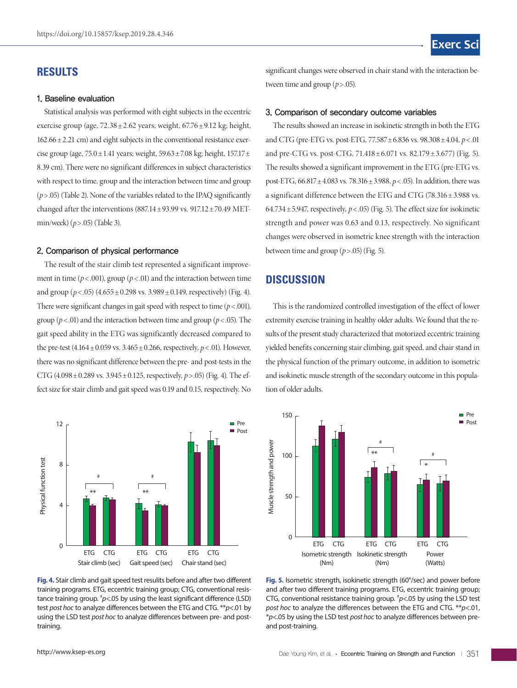### **RESULTS**

#### 1. Baseline evaluation

Statistical analysis was performed with eight subjects in the eccentric exercise group (age,  $72.38 \pm 2.62$  years; weight,  $67.76 \pm 9.12$  kg; height,  $162.66 \pm 2.21$  cm) and eight subjects in the conventional resistance exercise group (age,  $75.0 \pm 1.41$  years; weight,  $59.63 \pm 7.08$  kg; height,  $157.17 \pm 1.5$ 8.39 cm). There were no significant differences in subject characteristics with respect to time, group and the interaction between time and group  $(p>0.05)$  (Table 2). None of the variables related to the IPAQ significantly changed after the interventions (887.14 $\pm$ 93.99 vs. 917.12 $\pm$ 70.49 METmin/week) (*p*>.05) (Table 3).

### 2. Comparison of physical performance

The result of the stair climb test represented a significant improvement in time ( $p < .001$ ), group ( $p < .01$ ) and the interaction between time and group  $(p < .05)$  (4.655  $\pm$  0.298 vs. 3.989  $\pm$  0.149, respectively) (Fig. 4). There were significant changes in gait speed with respect to time  $(p < .001)$ , group ( $p$ <.01) and the interaction between time and group ( $p$ <.05). The gait speed ability in the ETG was significantly decreased compared to the pre-test  $(4.164 \pm 0.059 \text{ vs. } 3.465 \pm 0.266, \text{ respectively, } p < .01)$ . However, there was no significant difference between the pre- and post-tests in the CTG (4.098±0.289 vs. 3.945±0.125, respectively, *p*>.05) (Fig. 4). The effect size for stair climb and gait speed was 0.19 and 0.15, respectively. No



**Fig. 4.** Stair climb and gait speed test resulits before and after two different training programs. ETG, eccentric training group; CTG, conventional resistance training group. # *p*<.05 by using the least significant difference (LSD) test *post hoc* to analyze differences between the ETG and CTG. \*\**p*<.01 by using the LSD test *post hoc* to analyze differences between pre- and posttraining.

significant changes were observed in chair stand with the interaction between time and group  $(p>0.05)$ .

#### 3. Comparison of secondary outcome variables

The results showed an increase in isokinetic strength in both the ETG and CTG (pre-ETG vs. post-ETG, 77.587±6.836 vs. 98.308±4.04, *p*< .01 and pre-CTG vs. post-CTG,  $71.418 \pm 6.071$  vs.  $82.179 \pm 3.677$ ) (Fig. 5). The results showed a significant improvement in the ETG (pre-ETG vs. post-ETG, 66.817±4.083 vs. 78.316±3.988, *p*< .05). In addition, there was a significant difference between the ETG and CTG (78.316±3.988 vs. 64.734 $\pm$ 5.947, respectively,  $p$  < .05) (Fig. 5). The effect size for isokinetic strength and power was 0.63 and 0.13, respectively. No significant changes were observed in isometric knee strength with the interaction between time and group  $(p > .05)$  (Fig. 5).

### **DISCUSSION**

This is the randomized controlled investigation of the effect of lower extremity exercise training in healthy older adults. We found that the results of the present study characterized that motorized eccentric training yielded benefits concerning stair climbing, gait speed, and chair stand in the physical function of the primary outcome, in addition to isometric and isokinetic muscle strength of the secondary outcome in this population of older adults.



**Fig. 5.** Isometric strength, isokinetic strength (60°/sec) and power before and after two different training programs. ETG, eccentric training group; CTG, conventional resistance training group. # *p*<.05 by using the LSD test *post hoc* to analyze the differences between the ETG and CTG. \*\**p*<.01, \**p*<.05 by using the LSD test *post hoc* to analyze differences between preand post-training.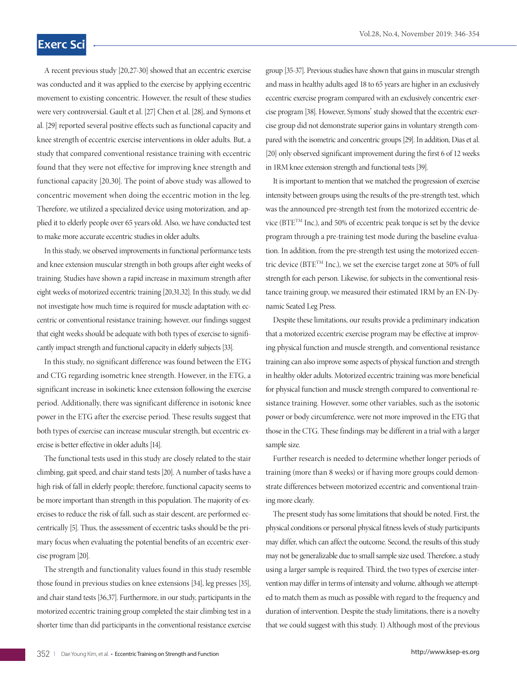## **Exerc Sc**

A recent previous study [20,27-30] showed that an eccentric exercise was conducted and it was applied to the exercise by applying eccentric movement to existing concentric. However, the result of these studies were very controversial. Gault et al. [27] Chen et al. [28], and Symons et al. [29] reported several positive effects such as functional capacity and knee strength of eccentric exercise interventions in older adults. But, a study that compared conventional resistance training with eccentric found that they were not effective for improving knee strength and functional capacity [20,30]. The point of above study was allowed to concentric movement when doing the eccentric motion in the leg. Therefore, we utilized a specialized device using motorization, and applied it to elderly people over 65 years old. Also, we have conducted test to make more accurate eccentric studies in older adults.

In this study, we observed improvements in functional performance tests and knee extension muscular strength in both groups after eight weeks of training. Studies have shown a rapid increase in maximum strength after eight weeks of motorized eccentric training [20,31,32]. In this study, we did not investigate how much time is required for muscle adaptation with eccentric or conventional resistance training; however, our findings suggest that eight weeks should be adequate with both types of exercise to significantly impact strength and functional capacity in elderly subjects [33].

In this study, no significant difference was found between the ETG and CTG regarding isometric knee strength. However, in the ETG, a significant increase in isokinetic knee extension following the exercise period. Additionally, there was significant difference in isotonic knee power in the ETG after the exercise period. These results suggest that both types of exercise can increase muscular strength, but eccentric exercise is better effective in older adults [14].

The functional tests used in this study are closely related to the stair climbing, gait speed, and chair stand tests [20]. A number of tasks have a high risk of fall in elderly people; therefore, functional capacity seems to be more important than strength in this population. The majority of exercises to reduce the risk of fall, such as stair descent, are performed eccentrically [5]. Thus, the assessment of eccentric tasks should be the primary focus when evaluating the potential benefits of an eccentric exercise program [20].

The strength and functionality values found in this study resemble those found in previous studies on knee extensions [34], leg presses [35], and chair stand tests [36,37]. Furthermore, in our study, participants in the motorized eccentric training group completed the stair climbing test in a shorter time than did participants in the conventional resistance exercise

group [35-37]. Previous studies have shown that gains in muscular strength and mass in healthy adults aged 18 to 65 years are higher in an exclusively eccentric exercise program compared with an exclusively concentric exercise program [38]. However, Symons' study showed that the eccentric exercise group did not demonstrate superior gains in voluntary strength compared with the isometric and concentric groups [29]. In addition, Dias et al. [20] only observed significant improvement during the first 6 of 12 weeks in 1RM knee extension strength and functional tests [39].

It is important to mention that we matched the progression of exercise intensity between groups using the results of the pre-strength test, which was the announced pre-strength test from the motorized eccentric device (BTETM Inc.), and 50% of eccentric peak torque is set by the device program through a pre-training test mode during the baseline evaluation. In addition, from the pre-strength test using the motorized eccentric device (BTETM Inc.), we set the exercise target zone at 50% of full strength for each person. Likewise, for subjects in the conventional resistance training group, we measured their estimated 1RM by an EN-Dynamic Seated Leg Press.

Despite these limitations, our results provide a preliminary indication that a motorized eccentric exercise program may be effective at improving physical function and muscle strength, and conventional resistance training can also improve some aspects of physical function and strength in healthy older adults. Motorized eccentric training was more beneficial for physical function and muscle strength compared to conventional resistance training. However, some other variables, such as the isotonic power or body circumference, were not more improved in the ETG that those in the CTG. These findings may be different in a trial with a larger sample size.

Further research is needed to determine whether longer periods of training (more than 8 weeks) or if having more groups could demonstrate differences between motorized eccentric and conventional training more clearly.

The present study has some limitations that should be noted. First, the physical conditions or personal physical fitness levels of study participants may differ, which can affect the outcome. Second, the results of this study may not be generalizable due to small sample size used. Therefore, a study using a larger sample is required. Third, the two types of exercise intervention may differ in terms of intensity and volume, although we attempted to match them as much as possible with regard to the frequency and duration of intervention. Despite the study limitations, there is a novelty that we could suggest with this study. 1) Although most of the previous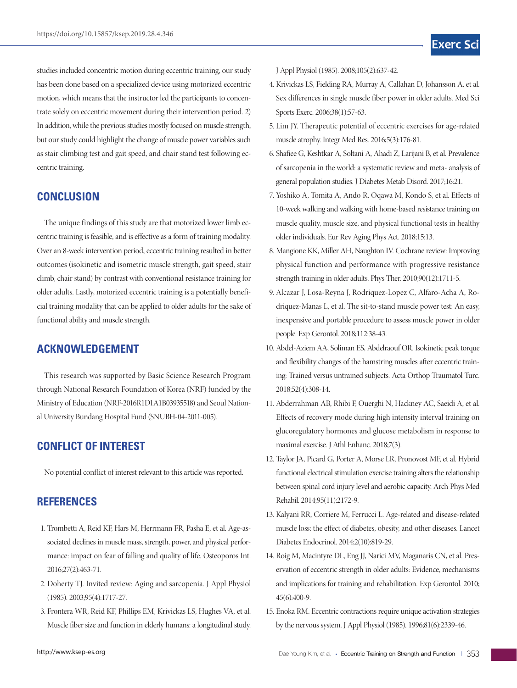studies included concentric motion during eccentric training, our study has been done based on a specialized device using motorized eccentric motion, which means that the instructor led the participants to concentrate solely on eccentric movement during their intervention period. 2) In addition, while the previous studies mostly focused on muscle strength, but our study could highlight the change of muscle power variables such as stair climbing test and gait speed, and chair stand test following eccentric training.

### **CONCLUSION**

The unique findings of this study are that motorized lower limb eccentric training is feasible, and is effective as a form of training modality. Over an 8-week intervention period, eccentric training resulted in better outcomes (isokinetic and isometric muscle strength, gait speed, stair climb, chair stand) by contrast with conventional resistance training for older adults. Lastly, motorized eccentric training is a potentially beneficial training modality that can be applied to older adults for the sake of functional ability and muscle strength.

### **ACKNOWLEDGEMENT**

This research was supported by Basic Science Research Program through National Research Foundation of Korea (NRF) funded by the Ministry of Education (NRF-2016R1D1A1B03935518) and Seoul National University Bundang Hospital Fund (SNUBH-04-2011-005).

# **CONFLICT OF INTEREST**

No potential conflict of interest relevant to this article was reported.

### **REFERENCES**

- 1. Trombetti A, Reid KF, Hars M, Herrmann FR, Pasha E, et al. Age-associated declines in muscle mass, strength, power, and physical performance: impact on fear of falling and quality of life. Osteoporos Int. 2016;27(2):463-71.
- 2. Doherty TJ. Invited review: Aging and sarcopenia. J Appl Physiol (1985). 2003;95(4):1717-27.
- 3. Frontera WR, Reid KF, Phillips EM, Krivickas LS, Hughes VA, et al. Muscle fiber size and function in elderly humans: a longitudinal study.
- 4. Krivickas LS, Fielding RA, Murray A, Callahan D, Johansson A, et al. Sex differences in single muscle fiber power in older adults. Med Sci Sports Exerc. 2006;38(1):57-63.
- 5. Lim JY. Therapeutic potential of eccentric exercises for age-related muscle atrophy. Integr Med Res. 2016;5(3):176-81.
- 6. Shafiee G, Keshtkar A, Soltani A, Ahadi Z, Larijani B, et al. Prevalence of sarcopenia in the world: a systematic review and meta- analysis of general population studies. J Diabetes Metab Disord. 2017;16:21.
- 7. Yoshiko A, Tomita A, Ando R, Oqawa M, Kondo S, et al. Effects of 10-week walking and walking with home-based resistance training on muscle quality, muscle size, and physical functional tests in healthy older individuals. Eur Rev Aging Phys Act. 2018;15:13.
- 8. Mangione KK, Miller AH, Naughton IV. Cochrane review: Improving physical function and performance with progressive resistance strength training in older adults. Phys Ther. 2010;90(12):1711-5.
- 9. Alcazar J, Losa-Reyna J, Rodriquez-Lopez C, Alfaro-Acha A, Rodriquez-Manas L, et al. The sit-to-stand muscle power test: An easy, inexpensive and portable procedure to assess muscle power in older people. Exp Gerontol. 2018;112:38-43.
- 10. Abdel-Aziem AA, Soliman ES, Abdelraouf OR. Isokinetic peak torque and flexibility changes of the hamstring muscles after eccentric training: Trained versus untrained subjects. Acta Orthop Traumatol Turc. 2018;52(4):308-14.
- 11. Abderrahman AB, Rhibi F, Ouerghi N, Hackney AC, Saeidi A, et al. Effects of recovery mode during high intensity interval training on glucoregulatory hormones and glucose metabolism in response to maximal exercise. J Athl Enhanc. 2018;7(3).
- 12. Taylor JA, Picard G, Porter A, Morse LR, Pronovost MF, et al. Hybrid functional electrical stimulation exercise training alters the relationship between spinal cord injury level and aerobic capacity. Arch Phys Med Rehabil. 2014;95(11):2172-9.
- 13. Kalyani RR, Corriere M, Ferrucci L. Age-related and disease-related muscle loss: the effect of diabetes, obesity, and other diseases. Lancet Diabetes Endocrinol. 2014;2(10):819-29.
- 14. Roig M, Macintyre DL, Eng JJ, Narici MV, Maganaris CN, et al. Preservation of eccentric strength in older adults: Evidence, mechanisms and implications for training and rehabilitation. Exp Gerontol. 2010; 45(6):400-9.
- 15. Enoka RM. Eccentric contractions require unique activation strategies by the nervous system. J Appl Physiol (1985). 1996;81(6):2339-46.